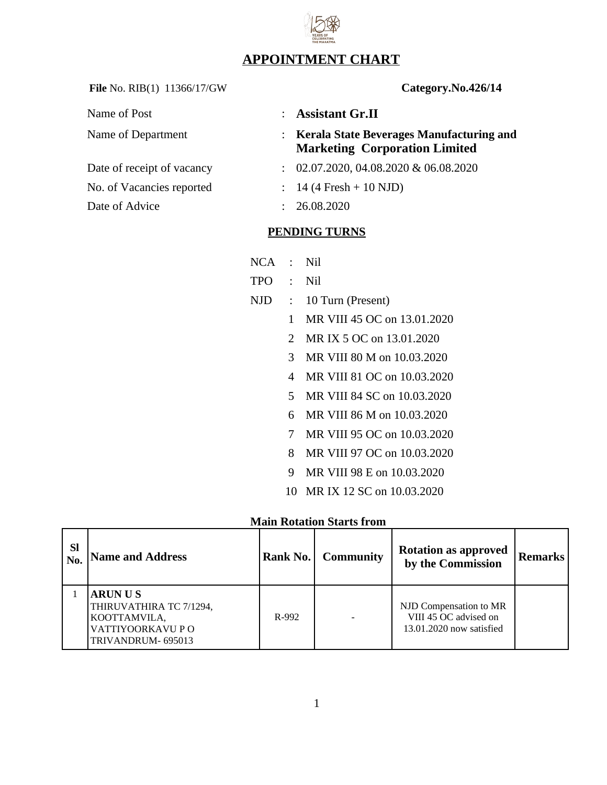## **APPOINTMENT CHART**

File No. RIB(1) 11366/17/GW **Category.No.426/14** 

| Name of Post               |               | : Assistant Gr.II                                                                  |
|----------------------------|---------------|------------------------------------------------------------------------------------|
| Name of Department         |               | : Kerala State Beverages Manufacturing and<br><b>Marketing Corporation Limited</b> |
| Date of receipt of vacancy |               | $\therefore$ 02.07.2020, 04.08.2020 & 06.08.2020                                   |
| No. of Vacancies reported  |               | $: 14 (4$ Fresh + 10 NJD)                                                          |
| Date of Advice             | $\mathcal{L}$ | 26.08.2020                                                                         |

## **PENDING TURNS**

- NCA : Nil
- TPO : Nil
- NJD : 10 Turn (Present)
	- 1 MR VIII 45 OC on 13.01.2020
	- 2 MR IX 5 OC on 13.01.2020
	- 3 MR VIII 80 M on 10.03.2020
	- 4 MR VIII 81 OC on 10.03.2020
	- 5 MR VIII 84 SC on 10.03.2020
	- 6 MR VIII 86 M on 10.03.2020
	- 7 MR VIII 95 OC on 10.03.2020
	- 8 MR VIII 97 OC on 10.03.2020
	- 9 MR VIII 98 E on 10.03.2020
	- 10 MR IX 12 SC on 10.03.2020

## **Main Rotation Starts from**

| <b>Sl</b><br>No. | <b>Name and Address</b>                                                                            | Rank No. | <b>Community</b> | <b>Rotation as approved</b><br>by the Commission                            | <b>Remarks</b> |
|------------------|----------------------------------------------------------------------------------------------------|----------|------------------|-----------------------------------------------------------------------------|----------------|
|                  | <b>ARUNUS</b><br>THIRUVATHIRA TC 7/1294,<br>KOOTTAMVILA,<br>VATTIYOORKAVU P O<br>TRIVANDRUM-695013 | R-992    |                  | NJD Compensation to MR<br>VIII 45 OC advised on<br>13.01.2020 now satisfied |                |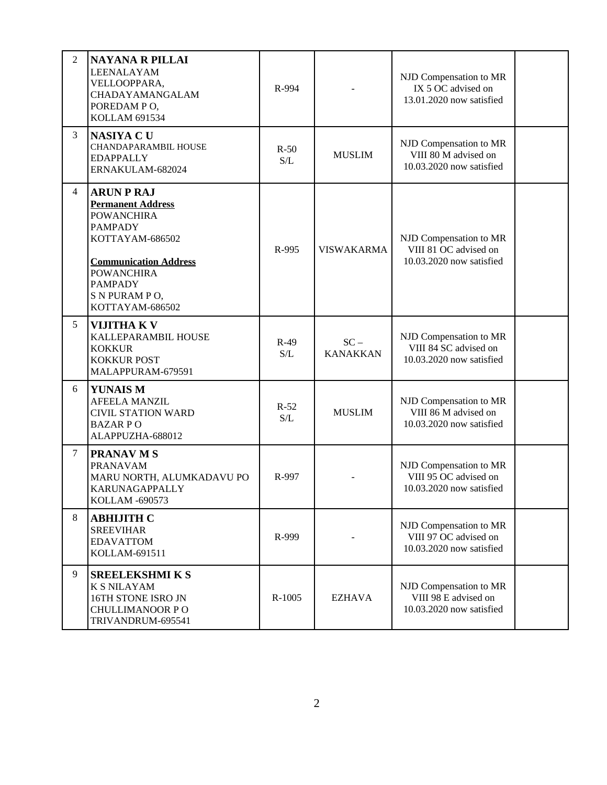| 2 | <b>NAYANA R PILLAI</b><br>LEENALAYAM<br>VELLOOPPARA,<br>CHADAYAMANGALAM<br>POREDAM PO,<br><b>KOLLAM 691534</b>                                                                                                     | R-994         |                           | NJD Compensation to MR<br>IX 5 OC advised on<br>13.01.2020 now satisfied    |  |
|---|--------------------------------------------------------------------------------------------------------------------------------------------------------------------------------------------------------------------|---------------|---------------------------|-----------------------------------------------------------------------------|--|
| 3 | <b>NASIYA CU</b><br>CHANDAPARAMBIL HOUSE<br><b>EDAPPALLY</b><br>ERNAKULAM-682024                                                                                                                                   | $R-50$<br>S/L | <b>MUSLIM</b>             | NJD Compensation to MR<br>VIII 80 M advised on<br>10.03.2020 now satisfied  |  |
| 4 | <b>ARUN P RAJ</b><br><b>Permanent Address</b><br><b>POWANCHIRA</b><br><b>PAMPADY</b><br>KOTTAYAM-686502<br><b>Communication Address</b><br><b>POWANCHIRA</b><br><b>PAMPADY</b><br>S N PURAM PO,<br>KOTTAYAM-686502 | R-995         | <b>VISWAKARMA</b>         | NJD Compensation to MR<br>VIII 81 OC advised on<br>10.03.2020 now satisfied |  |
| 5 | <b>VIJITHAKV</b><br>KALLEPARAMBIL HOUSE<br><b>KOKKUR</b><br><b>KOKKUR POST</b><br>MALAPPURAM-679591                                                                                                                | $R-49$<br>S/L | $SC -$<br><b>KANAKKAN</b> | NJD Compensation to MR<br>VIII 84 SC advised on<br>10.03.2020 now satisfied |  |
| 6 | <b>YUNAIS M</b><br><b>AFEELA MANZIL</b><br><b>CIVIL STATION WARD</b><br><b>BAZARPO</b><br>ALAPPUZHA-688012                                                                                                         | $R-52$<br>S/L | <b>MUSLIM</b>             | NJD Compensation to MR<br>VIII 86 M advised on<br>10.03.2020 now satisfied  |  |
| 7 | <b>PRANAV M S</b><br><b>PRANAVAM</b><br>MARU NORTH, ALUMKADAVU PO<br>KARUNAGAPPALLY<br><b>KOLLAM -690573</b>                                                                                                       | R-997         |                           | NJD Compensation to MR<br>VIII 95 OC advised on<br>10.03.2020 now satisfied |  |
| 8 | <b>ABHIJITH C</b><br><b>SREEVIHAR</b><br><b>EDAVATTOM</b><br>KOLLAM-691511                                                                                                                                         | R-999         |                           | NJD Compensation to MR<br>VIII 97 OC advised on<br>10.03.2020 now satisfied |  |
| 9 | <b>SREELEKSHMIKS</b><br><b>K S NILAYAM</b><br>16TH STONE ISRO JN<br>CHULLIMANOOR PO<br>TRIVANDRUM-695541                                                                                                           | R-1005        | <b>EZHAVA</b>             | NJD Compensation to MR<br>VIII 98 E advised on<br>10.03.2020 now satisfied  |  |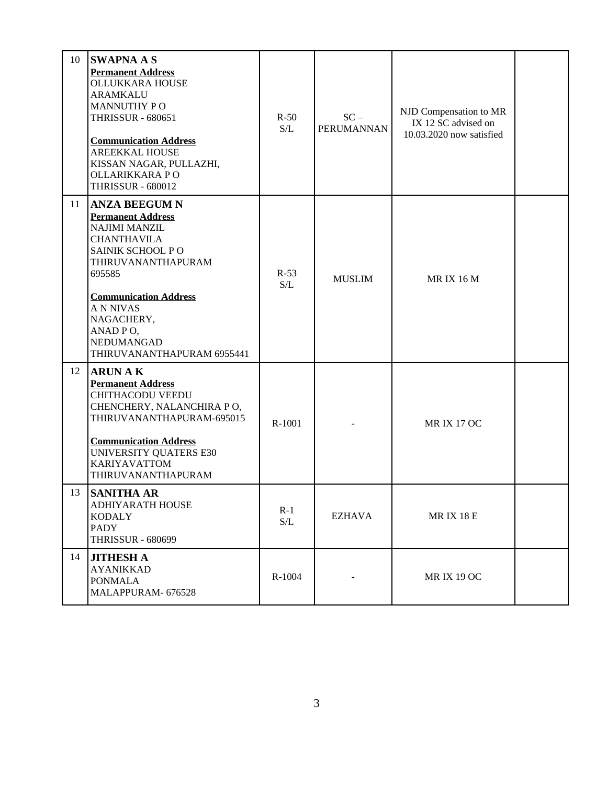| 10 | <b>SWAPNA A S</b><br><b>Permanent Address</b><br><b>OLLUKKARA HOUSE</b><br><b>ARAMKALU</b><br><b>MANNUTHY PO</b><br><b>THRISSUR - 680651</b><br><b>Communication Address</b><br><b>AREEKKAL HOUSE</b><br>KISSAN NAGAR, PULLAZHI,<br>OLLARIKKARA PO<br><b>THRISSUR - 680012</b> | $R-50$<br>S/L | $SC -$<br><b>PERUMANNAN</b> | NJD Compensation to MR<br>IX 12 SC advised on<br>10.03.2020 now satisfied |  |
|----|--------------------------------------------------------------------------------------------------------------------------------------------------------------------------------------------------------------------------------------------------------------------------------|---------------|-----------------------------|---------------------------------------------------------------------------|--|
| 11 | <b>ANZA BEEGUM N</b><br><b>Permanent Address</b><br><b>NAJIMI MANZIL</b><br><b>CHANTHAVILA</b><br>SAINIK SCHOOL PO<br>THIRUVANANTHAPURAM<br>695585<br><b>Communication Address</b><br><b>ANNIVAS</b><br>NAGACHERY,<br>ANAD PO,<br>NEDUMANGAD<br>THIRUVANANTHAPURAM 6955441     | $R-53$<br>S/L | <b>MUSLIM</b>               | <b>MRIX 16 M</b>                                                          |  |
| 12 | <b>ARUN AK</b><br><b>Permanent Address</b><br><b>CHITHACODU VEEDU</b><br>CHENCHERY, NALANCHIRA PO,<br>THIRUVANANTHAPURAM-695015<br><b>Communication Address</b><br><b>UNIVERSITY QUATERS E30</b><br><b>KARIYAVATTOM</b><br>THIRUVANANTHAPURAM                                  | R-1001        |                             | <b>MRIX 17 OC</b>                                                         |  |
| 13 | <b>SANITHA AR</b><br>ADHIYARATH HOUSE<br>KODALY<br>PADY<br><b>THRISSUR - 680699</b>                                                                                                                                                                                            | $R-1$<br>S/L  | EZHAVA                      | <b>MRIX 18 E</b>                                                          |  |
| 14 | <b>JITHESH A</b><br><b>AYANIKKAD</b><br><b>PONMALA</b><br>MALAPPURAM-676528                                                                                                                                                                                                    | R-1004        |                             | <b>MRIX 19 OC</b>                                                         |  |